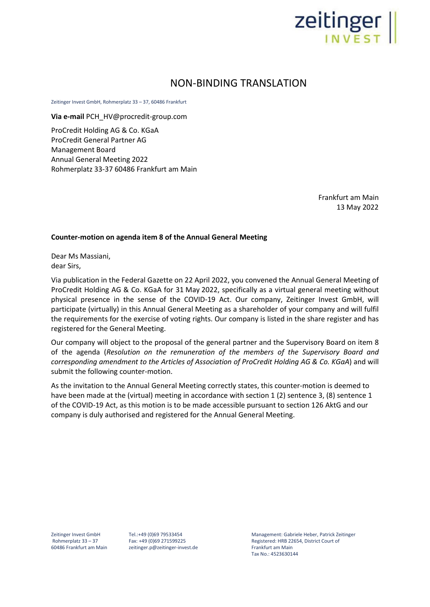

## NON-BINDING TRANSLATION

Zeitinger Invest GmbH, Rohmerplatz 33 – 37, 60486 Frankfurt

**Via e-mail** PCH\_HV@procredit-group.com

ProCredit Holding AG & Co. KGaA ProCredit General Partner AG Management Board Annual General Meeting 2022 Rohmerplatz 33-37 60486 Frankfurt am Main

> Frankfurt am Main 13 May 2022

## **Counter-motion on agenda item 8 of the Annual General Meeting**

Dear Ms Massiani, dear Sirs,

Via publication in the Federal Gazette on 22 April 2022, you convened the Annual General Meeting of ProCredit Holding AG & Co. KGaA for 31 May 2022, specifically as a virtual general meeting without physical presence in the sense of the COVID-19 Act. Our company, Zeitinger Invest GmbH, will participate (virtually) in this Annual General Meeting as a shareholder of your company and will fulfil the requirements for the exercise of voting rights. Our company is listed in the share register and has registered for the General Meeting.

Our company will object to the proposal of the general partner and the Supervisory Board on item 8 of the agenda (*Resolution on the remuneration of the members of the Supervisory Board and corresponding amendment to the Articles of Association of ProCredit Holding AG & Co. KGaA*) and will submit the following counter-motion.

As the invitation to the Annual General Meeting correctly states, this counter-motion is deemed to have been made at the (virtual) meeting in accordance with section 1 (2) sentence 3, (8) sentence 1 of the COVID-19 Act, as this motion is to be made accessible pursuant to section 126 AktG and our company is duly authorised and registered for the Annual General Meeting.

Zeitinger Invest GmbH Rohmerplatz 33 – 37 60486 Frankfurt am Main Tel.:+49 (0)69 79533454 Fax: +49 (0)69 271599225 zeitinger.p@zeitinger-invest.de Management: Gabriele Heber, Patrick Zeitinger Registered: HRB 22654, District Court of Frankfurt am Main Tax No.: 4523630144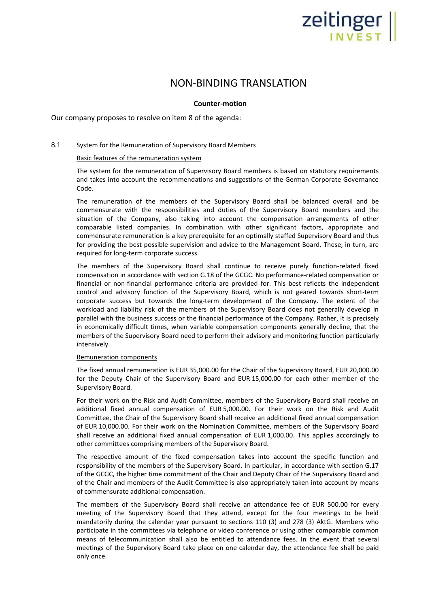# Zeitinger

## NON-BINDING TRANSLATION

### **Counter-motion**

Our company proposes to resolve on item 8 of the agenda:

## 8.1 System for the Remuneration of Supervisory Board Members

#### Basic features of the remuneration system

The system for the remuneration of Supervisory Board members is based on statutory requirements and takes into account the recommendations and suggestions of the German Corporate Governance Code.

The remuneration of the members of the Supervisory Board shall be balanced overall and be commensurate with the responsibilities and duties of the Supervisory Board members and the situation of the Company, also taking into account the compensation arrangements of other comparable listed companies. In combination with other significant factors, appropriate and commensurate remuneration is a key prerequisite for an optimally staffed Supervisory Board and thus for providing the best possible supervision and advice to the Management Board. These, in turn, are required for long-term corporate success.

The members of the Supervisory Board shall continue to receive purely function-related fixed compensation in accordance with section G.18 of the GCGC. No performance-related compensation or financial or non-financial performance criteria are provided for. This best reflects the independent control and advisory function of the Supervisory Board, which is not geared towards short-term corporate success but towards the long-term development of the Company. The extent of the workload and liability risk of the members of the Supervisory Board does not generally develop in parallel with the business success or the financial performance of the Company. Rather, it is precisely in economically difficult times, when variable compensation components generally decline, that the members of the Supervisory Board need to perform their advisory and monitoring function particularly intensively.

#### Remuneration components

The fixed annual remuneration is EUR 35,000.00 for the Chair of the Supervisory Board, EUR 20,000.00 for the Deputy Chair of the Supervisory Board and EUR 15,000.00 for each other member of the Supervisory Board.

For their work on the Risk and Audit Committee, members of the Supervisory Board shall receive an additional fixed annual compensation of EUR 5,000.00. For their work on the Risk and Audit Committee, the Chair of the Supervisory Board shall receive an additional fixed annual compensation of EUR 10,000.00. For their work on the Nomination Committee, members of the Supervisory Board shall receive an additional fixed annual compensation of EUR 1,000.00. This applies accordingly to other committees comprising members of the Supervisory Board.

The respective amount of the fixed compensation takes into account the specific function and responsibility of the members of the Supervisory Board. In particular, in accordance with section G.17 of the GCGC, the higher time commitment of the Chair and Deputy Chair of the Supervisory Board and of the Chair and members of the Audit Committee is also appropriately taken into account by means of commensurate additional compensation.

The members of the Supervisory Board shall receive an attendance fee of EUR 500.00 for every meeting of the Supervisory Board that they attend, except for the four meetings to be held mandatorily during the calendar year pursuant to sections 110 (3) and 278 (3) AktG. Members who participate in the committees via telephone or video conference or using other comparable common means of telecommunication shall also be entitled to attendance fees. In the event that several meetings of the Supervisory Board take place on one calendar day, the attendance fee shall be paid only once.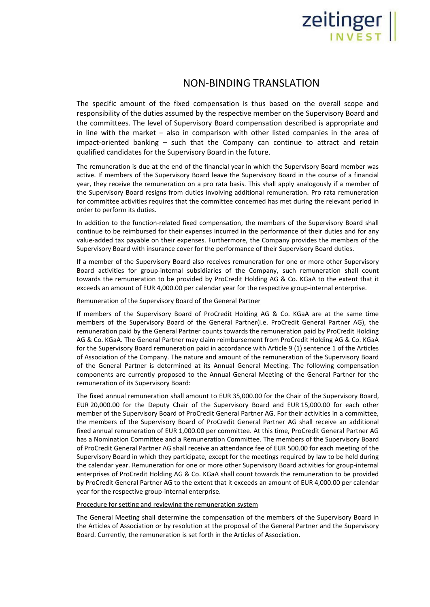# Zeitinger

## NON-BINDING TRANSLATION

The specific amount of the fixed compensation is thus based on the overall scope and responsibility of the duties assumed by the respective member on the Supervisory Board and the committees. The level of Supervisory Board compensation described is appropriate and in line with the market – also in comparison with other listed companies in the area of impact-oriented banking – such that the Company can continue to attract and retain qualified candidates for the Supervisory Board in the future.

The remuneration is due at the end of the financial year in which the Supervisory Board member was active. If members of the Supervisory Board leave the Supervisory Board in the course of a financial year, they receive the remuneration on a pro rata basis. This shall apply analogously if a member of the Supervisory Board resigns from duties involving additional remuneration. Pro rata remuneration for committee activities requires that the committee concerned has met during the relevant period in order to perform its duties.

In addition to the function-related fixed compensation, the members of the Supervisory Board shall continue to be reimbursed for their expenses incurred in the performance of their duties and for any value-added tax payable on their expenses. Furthermore, the Company provides the members of the Supervisory Board with insurance cover for the performance of their Supervisory Board duties.

If a member of the Supervisory Board also receives remuneration for one or more other Supervisory Board activities for group-internal subsidiaries of the Company, such remuneration shall count towards the remuneration to be provided by ProCredit Holding AG & Co. KGaA to the extent that it exceeds an amount of EUR 4,000.00 per calendar year for the respective group-internal enterprise.

#### Remuneration of the Supervisory Board of the General Partner

If members of the Supervisory Board of ProCredit Holding AG & Co. KGaA are at the same time members of the Supervisory Board of the General Partner(i.e. ProCredit General Partner AG), the remuneration paid by the General Partner counts towards the remuneration paid by ProCredit Holding AG & Co. KGaA. The General Partner may claim reimbursement from ProCredit Holding AG & Co. KGaA for the Supervisory Board remuneration paid in accordance with Article 9 (1) sentence 1 of the Articles of Association of the Company. The nature and amount of the remuneration of the Supervisory Board of the General Partner is determined at its Annual General Meeting. The following compensation components are currently proposed to the Annual General Meeting of the General Partner for the remuneration of its Supervisory Board:

The fixed annual remuneration shall amount to EUR 35,000.00 for the Chair of the Supervisory Board, EUR 20,000.00 for the Deputy Chair of the Supervisory Board and EUR 15,000.00 for each other member of the Supervisory Board of ProCredit General Partner AG. For their activities in a committee, the members of the Supervisory Board of ProCredit General Partner AG shall receive an additional fixed annual remuneration of EUR 1,000.00 per committee. At this time, ProCredit General Partner AG has a Nomination Committee and a Remuneration Committee. The members of the Supervisory Board of ProCredit General Partner AG shall receive an attendance fee of EUR 500.00 for each meeting of the Supervisory Board in which they participate, except for the meetings required by law to be held during the calendar year. Remuneration for one or more other Supervisory Board activities for group-internal enterprises of ProCredit Holding AG & Co. KGaA shall count towards the remuneration to be provided by ProCredit General Partner AG to the extent that it exceeds an amount of EUR 4,000.00 per calendar year for the respective group-internal enterprise.

#### Procedure for setting and reviewing the remuneration system

The General Meeting shall determine the compensation of the members of the Supervisory Board in the Articles of Association or by resolution at the proposal of the General Partner and the Supervisory Board. Currently, the remuneration is set forth in the Articles of Association.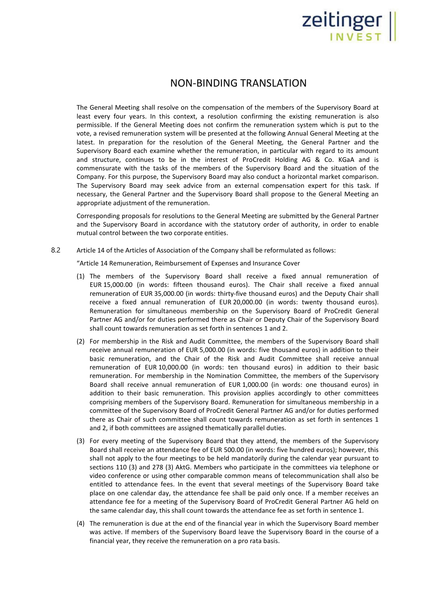# Zeitinger

# NON-BINDING TRANSLATION

The General Meeting shall resolve on the compensation of the members of the Supervisory Board at least every four years. In this context, a resolution confirming the existing remuneration is also permissible. If the General Meeting does not confirm the remuneration system which is put to the vote, a revised remuneration system will be presented at the following Annual General Meeting at the latest. In preparation for the resolution of the General Meeting, the General Partner and the Supervisory Board each examine whether the remuneration, in particular with regard to its amount and structure, continues to be in the interest of ProCredit Holding AG & Co. KGaA and is commensurate with the tasks of the members of the Supervisory Board and the situation of the Company. For this purpose, the Supervisory Board may also conduct a horizontal market comparison. The Supervisory Board may seek advice from an external compensation expert for this task. If necessary, the General Partner and the Supervisory Board shall propose to the General Meeting an appropriate adjustment of the remuneration.

Corresponding proposals for resolutions to the General Meeting are submitted by the General Partner and the Supervisory Board in accordance with the statutory order of authority, in order to enable mutual control between the two corporate entities.

8.2 Article 14 of the Articles of Association of the Company shall be reformulated as follows:

"Article 14 Remuneration, Reimbursement of Expenses and Insurance Cover

- (1) The members of the Supervisory Board shall receive a fixed annual remuneration of EUR 15,000.00 (in words: fifteen thousand euros). The Chair shall receive a fixed annual remuneration of EUR 35,000.00 (in words: thirty-five thousand euros) and the Deputy Chair shall receive a fixed annual remuneration of EUR 20,000.00 (in words: twenty thousand euros). Remuneration for simultaneous membership on the Supervisory Board of ProCredit General Partner AG and/or for duties performed there as Chair or Deputy Chair of the Supervisory Board shall count towards remuneration as set forth in sentences 1 and 2.
- (2) For membership in the Risk and Audit Committee, the members of the Supervisory Board shall receive annual remuneration of EUR 5,000.00 (in words: five thousand euros) in addition to their basic remuneration, and the Chair of the Risk and Audit Committee shall receive annual remuneration of EUR 10,000.00 (in words: ten thousand euros) in addition to their basic remuneration. For membership in the Nomination Committee, the members of the Supervisory Board shall receive annual remuneration of EUR 1,000.00 (in words: one thousand euros) in addition to their basic remuneration. This provision applies accordingly to other committees comprising members of the Supervisory Board. Remuneration for simultaneous membership in a committee of the Supervisory Board of ProCredit General Partner AG and/or for duties performed there as Chair of such committee shall count towards remuneration as set forth in sentences 1 and 2, if both committees are assigned thematically parallel duties.
- (3) For every meeting of the Supervisory Board that they attend, the members of the Supervisory Board shall receive an attendance fee of EUR 500.00 (in words: five hundred euros); however, this shall not apply to the four meetings to be held mandatorily during the calendar year pursuant to sections 110 (3) and 278 (3) AktG. Members who participate in the committees via telephone or video conference or using other comparable common means of telecommunication shall also be entitled to attendance fees. In the event that several meetings of the Supervisory Board take place on one calendar day, the attendance fee shall be paid only once. If a member receives an attendance fee for a meeting of the Supervisory Board of ProCredit General Partner AG held on the same calendar day, this shall count towards the attendance fee as set forth in sentence 1.
- (4) The remuneration is due at the end of the financial year in which the Supervisory Board member was active. If members of the Supervisory Board leave the Supervisory Board in the course of a financial year, they receive the remuneration on a pro rata basis.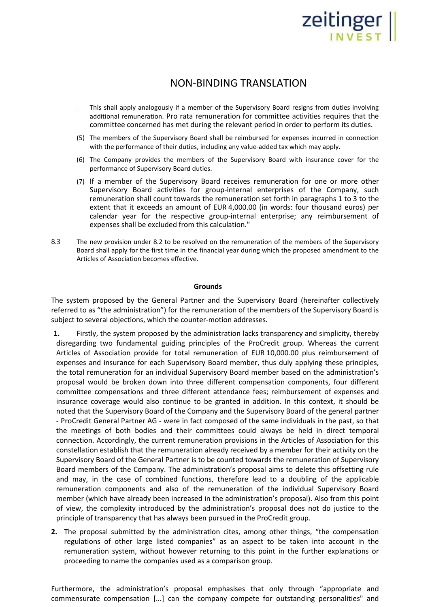# Zeitinger ||

## NON-BINDING TRANSLATION

- This shall apply analogously if a member of the Supervisory Board resigns from duties involving additional remuneration. Pro rata remuneration for committee activities requires that the committee concerned has met during the relevant period in order to perform its duties.
- (5) The members of the Supervisory Board shall be reimbursed for expenses incurred in connection with the performance of their duties, including any value-added tax which may apply.
- (6) The Company provides the members of the Supervisory Board with insurance cover for the performance of Supervisory Board duties.
- (7) If a member of the Supervisory Board receives remuneration for one or more other Supervisory Board activities for group-internal enterprises of the Company, such remuneration shall count towards the remuneration set forth in paragraphs 1 to 3 to the extent that it exceeds an amount of EUR 4,000.00 (in words: four thousand euros) per calendar year for the respective group-internal enterprise; any reimbursement of expenses shall be excluded from this calculation."
- 8.3 The new provision under 8.2 to be resolved on the remuneration of the members of the Supervisory Board shall apply for the first time in the financial year during which the proposed amendment to the Articles of Association becomes effective.

### **Grounds**

The system proposed by the General Partner and the Supervisory Board (hereinafter collectively referred to as "the administration") for the remuneration of the members of the Supervisory Board is subject to several objections, which the counter-motion addresses.

- **1.** Firstly, the system proposed by the administration lacks transparency and simplicity, thereby disregarding two fundamental guiding principles of the ProCredit group. Whereas the current Articles of Association provide for total remuneration of EUR 10,000.00 plus reimbursement of expenses and insurance for each Supervisory Board member, thus duly applying these principles, the total remuneration for an individual Supervisory Board member based on the administration's proposal would be broken down into three different compensation components, four different committee compensations and three different attendance fees; reimbursement of expenses and insurance coverage would also continue to be granted in addition. In this context, it should be noted that the Supervisory Board of the Company and the Supervisory Board of the general partner - ProCredit General Partner AG - were in fact composed of the same individuals in the past, so that the meetings of both bodies and their committees could always be held in direct temporal connection. Accordingly, the current remuneration provisions in the Articles of Association for this constellation establish that the remuneration already received by a member for their activity on the Supervisory Board of the General Partner is to be counted towards the remuneration of Supervisory Board members of the Company. The administration's proposal aims to delete this offsetting rule and may, in the case of combined functions, therefore lead to a doubling of the applicable remuneration components and also of the remuneration of the individual Supervisory Board member (which have already been increased in the administration's proposal). Also from this point of view, the complexity introduced by the administration's proposal does not do justice to the principle of transparency that has always been pursued in the ProCredit group.
- **2.** The proposal submitted by the administration cites, among other things, "the compensation regulations of other large listed companies" as an aspect to be taken into account in the remuneration system, without however returning to this point in the further explanations or proceeding to name the companies used as a comparison group.

Furthermore, the administration's proposal emphasises that only through "appropriate and commensurate compensation [...] can the company compete for outstanding personalities" and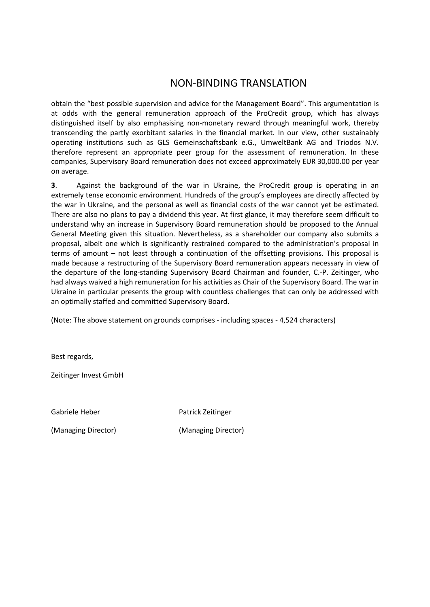# NON-BINDING TRANSLATION

obtain the "best possible supervision and advice for the Management Board". This argumentation is at odds with the general remuneration approach of the ProCredit group, which has always distinguished itself by also emphasising non-monetary reward through meaningful work, thereby transcending the partly exorbitant salaries in the financial market. In our view, other sustainably operating institutions such as GLS Gemeinschaftsbank e.G., UmweltBank AG and Triodos N.V. therefore represent an appropriate peer group for the assessment of remuneration. In these companies, Supervisory Board remuneration does not exceed approximately EUR 30,000.00 per year on average.

**3**. Against the background of the war in Ukraine, the ProCredit group is operating in an extremely tense economic environment. Hundreds of the group's employees are directly affected by the war in Ukraine, and the personal as well as financial costs of the war cannot yet be estimated. There are also no plans to pay a dividend this year. At first glance, it may therefore seem difficult to understand why an increase in Supervisory Board remuneration should be proposed to the Annual General Meeting given this situation. Nevertheless, as a shareholder our company also submits a proposal, albeit one which is significantly restrained compared to the administration's proposal in terms of amount – not least through a continuation of the offsetting provisions. This proposal is made because a restructuring of the Supervisory Board remuneration appears necessary in view of the departure of the long-standing Supervisory Board Chairman and founder, C.-P. Zeitinger, who had always waived a high remuneration for his activities as Chair of the Supervisory Board. The war in Ukraine in particular presents the group with countless challenges that can only be addressed with an optimally staffed and committed Supervisory Board.

(Note: The above statement on grounds comprises - including spaces - 4,524 characters)

Best regards,

Zeitinger Invest GmbH

Gabriele Heber **Patrick Zeitinger** Patrick Zeitinger

(Managing Director) (Managing Director)